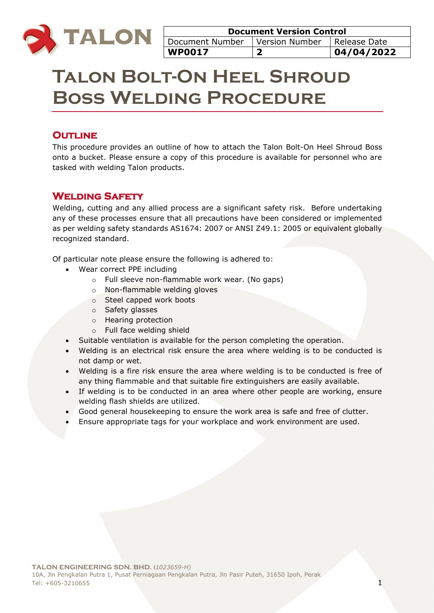

# **Talon Bolt-On Heel Shroud Boss Welding Procedure**

# **OUTLINE**

This procedure provides an outline of how to attach the Talon Bolt-On Heel Shroud Boss onto a bucket. Please ensure a copy of this procedure is available for personnel who are tasked with welding Talon products.

## **Welding Safety**

Welding, cutting and any allied process are a significant safety risk. Before undertaking any of these processes ensure that all precautions have been considered or implemented as per welding safety standards AS1674: 2007 or ANSI Z49.1: 2005 or equivalent globally recognized standard.

Of particular note please ensure the following is adhered to:

- Wear correct PPE including
	- o Full sleeve non-flammable work wear. (No gaps)
	- o Non-flammable welding gloves
	- o Steel capped work boots
	- o Safety glasses
	- o Hearing protection
	- o Full face welding shield
- Suitable ventilation is available for the person completing the operation.
- Welding is an electrical risk ensure the area where welding is to be conducted is not damp or wet.
- Welding is a fire risk ensure the area where welding is to be conducted is free of any thing flammable and that suitable fire extinguishers are easily available.
- If welding is to be conducted in an area where other people are working, ensure welding flash shields are utilized.
- Good general housekeeping to ensure the work area is safe and free of clutter.
- Ensure appropriate tags for your workplace and work environment are used.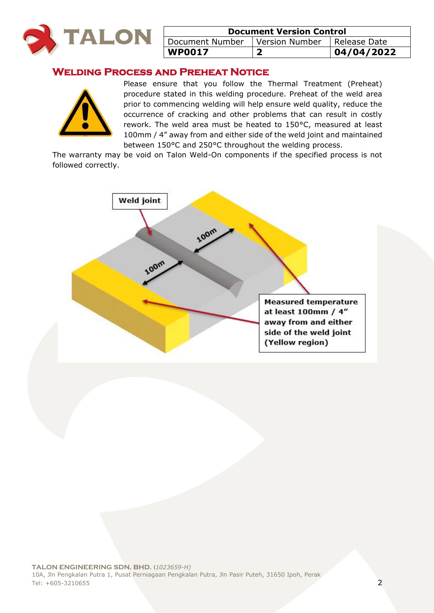

| <b>Document Version Control</b>                 |  |            |  |
|-------------------------------------------------|--|------------|--|
| Document Number   Version Number   Release Date |  |            |  |
| WP0017                                          |  | 04/04/2022 |  |

## **Welding Process and Preheat Notice**



Please ensure that you follow the Thermal Treatment (Preheat) procedure stated in this welding procedure. Preheat of the weld area prior to commencing welding will help ensure weld quality, reduce the occurrence of cracking and other problems that can result in costly rework. The weld area must be heated to 150°C, measured at least 100mm / 4" away from and either side of the weld joint and maintained between 150°C and 250°C throughout the welding process.

The warranty may be void on Talon Weld-On components if the specified process is not followed correctly.

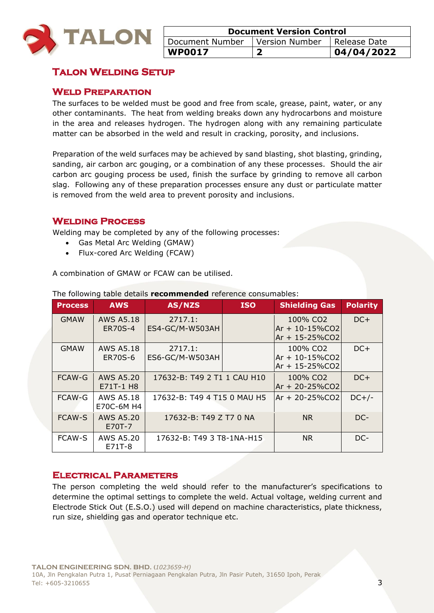

| <b>Document Version Control</b>                     |  |             |  |
|-----------------------------------------------------|--|-------------|--|
| Version Number<br>Document Number<br>  Release Date |  |             |  |
| <b>WP0017</b>                                       |  | 104/04/2022 |  |

# **Talon Welding Setup**

#### **Weld Preparation**

The surfaces to be welded must be good and free from scale, grease, paint, water, or any other contaminants. The heat from welding breaks down any hydrocarbons and moisture in the area and releases hydrogen. The hydrogen along with any remaining particulate matter can be absorbed in the weld and result in cracking, porosity, and inclusions.

Preparation of the weld surfaces may be achieved by sand blasting, shot blasting, grinding, sanding, air carbon arc gouging, or a combination of any these processes. Should the air carbon arc gouging process be used, finish the surface by grinding to remove all carbon slag. Following any of these preparation processes ensure any dust or particulate matter is removed from the weld area to prevent porosity and inclusions.

#### **Welding Process**

Welding may be completed by any of the following processes:

- Gas Metal Arc Welding (GMAW)
- Flux-cored Arc Welding (FCAW)

A combination of GMAW or FCAW can be utilised.

| <b>Process</b> | <b>AWS</b>                         | AS/NZS                      | <b>ISO</b> | <b>Shielding Gas</b>                                           | <b>Polarity</b> |
|----------------|------------------------------------|-----------------------------|------------|----------------------------------------------------------------|-----------------|
| <b>GMAW</b>    | <b>AWS A5.18</b><br><b>ER70S-4</b> | 2717.1:<br>ES4-GC/M-W503AH  |            | 100% CO <sub>2</sub><br>$Ar + 10 - 15\%$ CO2<br>Ar + 15-25%CO2 | $DC+$           |
| <b>GMAW</b>    | <b>AWS A5.18</b><br>ER70S-6        | 2717.1:<br>ES6-GC/M-W503AH  |            | 100% CO2<br>$Ar + 10 - 15\%$ CO2<br>$Ar + 15 - 25\%CO2$        | $DC+$           |
| <b>FCAW-G</b>  | <b>AWS A5.20</b><br>E71T-1 H8      | 17632-B: T49 2 T1 1 CAU H10 |            | 100% CO <sub>2</sub><br>Ar + 20-25%CO2                         | $DC+$           |
| <b>FCAW-G</b>  | <b>AWS A5.18</b><br>E70C-6M H4     | 17632-B: T49 4 T15 0 MAU H5 |            | lAr + 20-25%CO2                                                | $DC+/-$         |
| <b>FCAW-S</b>  | AWS A5.20<br>E70T-7                | 17632-B: T49 Z T7 0 NA      |            | N <sub>R</sub>                                                 | DC-             |
| <b>FCAW-S</b>  | AWS A5.20<br>E71T-8                | 17632-B: T49 3 T8-1NA-H15   |            | <b>NR</b>                                                      | DC-             |

The following table details **recommended** reference consumables:

#### **Electrical Parameters**

The person completing the weld should refer to the manufacturer's specifications to determine the optimal settings to complete the weld. Actual voltage, welding current and Electrode Stick Out (E.S.O.) used will depend on machine characteristics, plate thickness, run size, shielding gas and operator technique etc.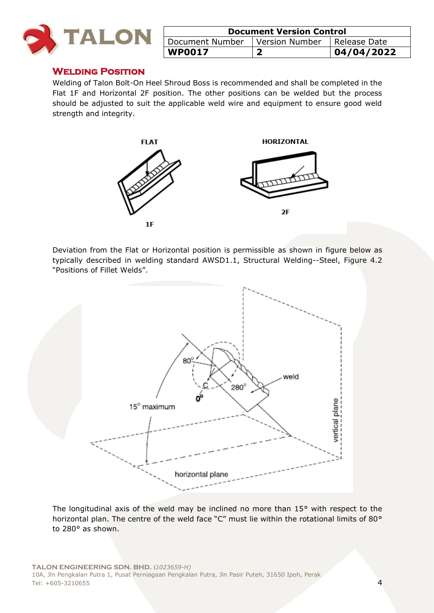

| <b>Document Version Control</b>                     |  |             |  |
|-----------------------------------------------------|--|-------------|--|
| Version Number<br>Document Number<br>I Release Date |  |             |  |
| <b>WP0017</b>                                       |  | 104/04/2022 |  |

#### **Welding Position**

Welding of Talon Bolt-On Heel Shroud Boss is recommended and shall be completed in the Flat 1F and Horizontal 2F position. The other positions can be welded but the process should be adjusted to suit the applicable weld wire and equipment to ensure good weld strength and integrity.



Deviation from the Flat or Horizontal position is permissible as shown in figure below as typically described in welding standard AWSD1.1, Structural Welding--Steel, Figure 4.2 "Positions of Fillet Welds".



The longitudinal axis of the weld may be inclined no more than 15° with respect to the horizontal plan. The centre of the weld face "C" must lie within the rotational limits of 80° to 280° as shown.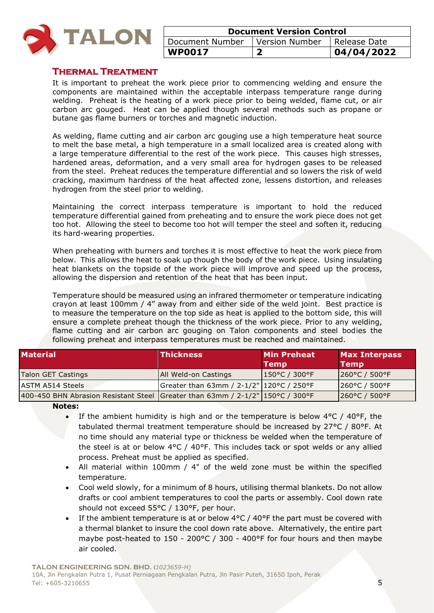

| <b>Document Version Control</b>                     |  |            |  |
|-----------------------------------------------------|--|------------|--|
| Version Number<br>Document Number<br>I Release Date |  |            |  |
| <b>WP0017</b>                                       |  | 04/04/2022 |  |

#### **Thermal Treatment**

It is important to preheat the work piece prior to commencing welding and ensure the components are maintained within the acceptable interpass temperature range during welding. Preheat is the heating of a work piece prior to being welded, flame cut, or air carbon arc gouged. Heat can be applied though several methods such as propane or butane gas flame burners or torches and magnetic induction.

As welding, flame cutting and air carbon arc gouging use a high temperature heat source to melt the base metal, a high temperature in a small localized area is created along with a large temperature differential to the rest of the work piece. This causes high stresses, hardened areas, deformation, and a very small area for hydrogen gases to be released from the steel. Preheat reduces the temperature differential and so lowers the risk of weld cracking, maximum hardness of the heat affected zone, lessens distortion, and releases hydrogen from the steel prior to welding.

Maintaining the correct interpass temperature is important to hold the reduced temperature differential gained from preheating and to ensure the work piece does not get too hot. Allowing the steel to become too hot will temper the steel and soften it, reducing its hard-wearing properties.

When preheating with burners and torches it is most effective to heat the work piece from below. This allows the heat to soak up though the body of the work piece. Using insulating heat blankets on the topside of the work piece will improve and speed up the process, allowing the dispersion and retention of the heat that has been input.

Temperature should be measured using an infrared thermometer or temperature indicating crayon at least 100mm / 4" away from and either side of the weld joint. Best practice is to measure the temperature on the top side as heat is applied to the bottom side, this will ensure a complete preheat though the thickness of the work piece. Prior to any welding, flame cutting and air carbon arc gouging on Talon components and steel bodies the following preheat and interpass temperatures must be reached and maintained.

| <b>Material</b>                                                                  | <b>Thickness</b>                         | <b>Min Preheat</b><br><b>Temp</b> | <b>Max Interpass</b><br><b>Temp</b> |
|----------------------------------------------------------------------------------|------------------------------------------|-----------------------------------|-------------------------------------|
| Talon GET Castings                                                               | <b>JAII Weld-on Castings</b>             | 150°C / 300°F                     | $ 260^{\circ}$ C / 500°F            |
| <b>ASTM A514 Steels</b>                                                          | Greater than 63mm / 2-1/2" 120°C / 250°F |                                   | $1260^{\circ}$ C / 500 $^{\circ}$ F |
| 400-450 BHN Abrasion Resistant Steel Greater than 63mm / $2-1/2$ " 150°C / 300°F |                                          |                                   | 260°C / 500°F                       |

**Notes:** 

- If the ambient humidity is high and or the temperature is below  $4^{\circ}$ C /  $40^{\circ}$ F, the tabulated thermal treatment temperature should be increased by 27°C / 80°F. At no time should any material type or thickness be welded when the temperature of the steel is at or below  $4^{\circ}C$  /  $40^{\circ}F$ . This includes tack or spot welds or any allied process. Preheat must be applied as specified.
- All material within 100mm / 4" of the weld zone must be within the specified temperature.
- Cool weld slowly, for a minimum of 8 hours, utilising thermal blankets. Do not allow drafts or cool ambient temperatures to cool the parts or assembly. Cool down rate should not exceed 55°C / 130°F, per hour.
- If the ambient temperature is at or below 4°C / 40°F the part must be covered with a thermal blanket to insure the cool down rate above. Alternatively, the entire part maybe post-heated to 150 - 200°C / 300 - 400°F for four hours and then maybe air cooled.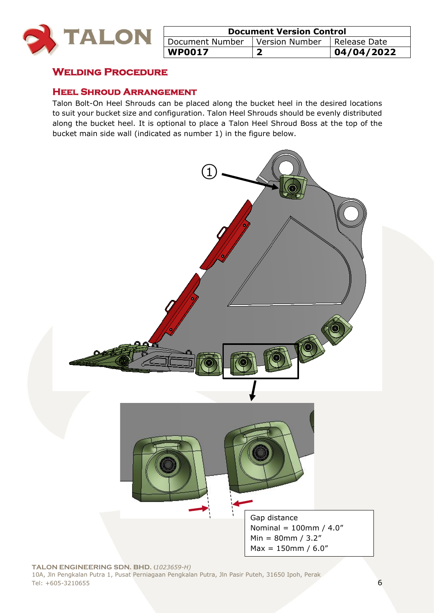

| <b>Document Version Control</b>                     |  |             |  |
|-----------------------------------------------------|--|-------------|--|
| Version Number<br>Document Number<br>I Release Date |  |             |  |
| WP0017                                              |  | 104/04/2022 |  |

## **Welding Procedure**

#### **Heel Shroud Arrangement**

Talon Bolt-On Heel Shrouds can be placed along the bucket heel in the desired locations to suit your bucket size and configuration. Talon Heel Shrouds should be evenly distributed along the bucket heel. It is optional to place a Talon Heel Shroud Boss at the top of the bucket main side wall (indicated as number 1) in the figure below.

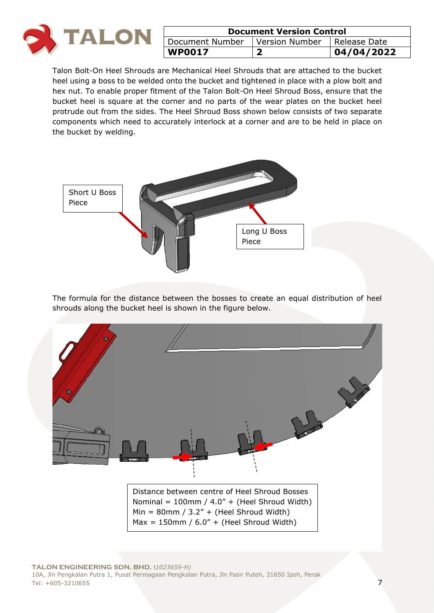

| <b>Document Version Control</b>                  |  |            |
|--------------------------------------------------|--|------------|
| Version Number   Release Date<br>Document Number |  |            |
| <b>WP0017</b>                                    |  | 04/04/2022 |

Talon Bolt-On Heel Shrouds are Mechanical Heel Shrouds that are attached to the bucket heel using a boss to be welded onto the bucket and tightened in place with a plow bolt and hex nut. To enable proper fitment of the Talon Bolt-On Heel Shroud Boss, ensure that the bucket heel is square at the corner and no parts of the wear plates on the bucket heel protrude out from the sides. The Heel Shroud Boss shown below consists of two separate components which need to accurately interlock at a corner and are to be held in place on the bucket by welding.



The formula for the distance between the bosses to create an equal distribution of heel shrouds along the bucket heel is shown in the figure below.

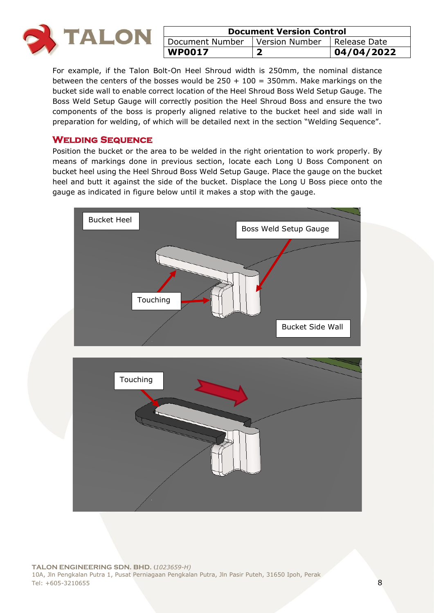

| <b>Document Version Control</b>                  |  |            |
|--------------------------------------------------|--|------------|
| Document Number<br>Version Number   Release Date |  |            |
| <b>WP0017</b>                                    |  | 04/04/2022 |

For example, if the Talon Bolt-On Heel Shroud width is 250mm, the nominal distance between the centers of the bosses would be  $250 + 100 = 350$  mm. Make markings on the bucket side wall to enable correct location of the Heel Shroud Boss Weld Setup Gauge. The Boss Weld Setup Gauge will correctly position the Heel Shroud Boss and ensure the two components of the boss is properly aligned relative to the bucket heel and side wall in preparation for welding, of which will be detailed next in the section "Welding Sequence".

#### **Welding Sequence**

Position the bucket or the area to be welded in the right orientation to work properly. By means of markings done in previous section, locate each Long U Boss Component on bucket heel using the Heel Shroud Boss Weld Setup Gauge. Place the gauge on the bucket heel and butt it against the side of the bucket. Displace the Long U Boss piece onto the gauge as indicated in figure below until it makes a stop with the gauge.

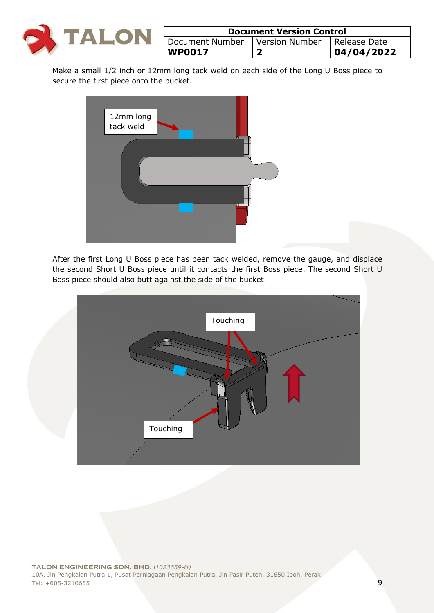

| <b>Document Version Control</b>                            |  |            |  |
|------------------------------------------------------------|--|------------|--|
| <b>Version Number</b><br>Document Number<br>  Release Date |  |            |  |
| <b>WP0017</b>                                              |  | 04/04/2022 |  |

Make a small 1/2 inch or 12mm long tack weld on each side of the Long U Boss piece to secure the first piece onto the bucket.



After the first Long U Boss piece has been tack welded, remove the gauge, and displace the second Short U Boss piece until it contacts the first Boss piece. The second Short U Boss piece should also butt against the side of the bucket.

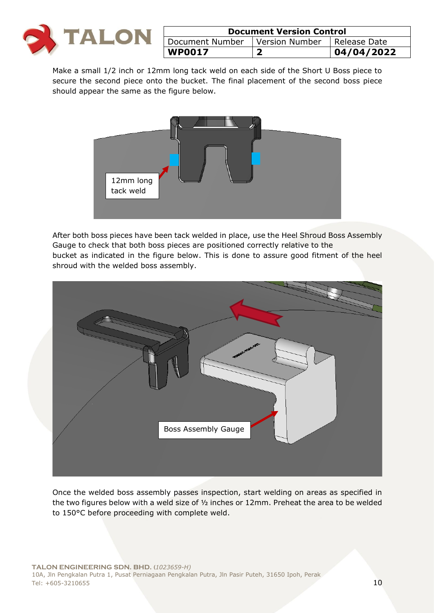

| <b>Document Version Control</b>                     |  |            |
|-----------------------------------------------------|--|------------|
| Version Number<br>Document Number<br>  Release Date |  |            |
| <b>WP0017</b>                                       |  | 04/04/2022 |

Make a small 1/2 inch or 12mm long tack weld on each side of the Short U Boss piece to secure the second piece onto the bucket. The final placement of the second boss piece should appear the same as the figure below.



After both boss pieces have been tack welded in place, use the Heel Shroud Boss Assembly Gauge to check that both boss pieces are positioned correctly relative to the bucket as indicated in the figure below. This is done to assure good fitment of the heel shroud with the welded boss assembly.



Once the welded boss assembly passes inspection, start welding on areas as specified in the two figures below with a weld size of  $\frac{1}{2}$  inches or 12mm. Preheat the area to be welded to 150°C before proceeding with complete weld.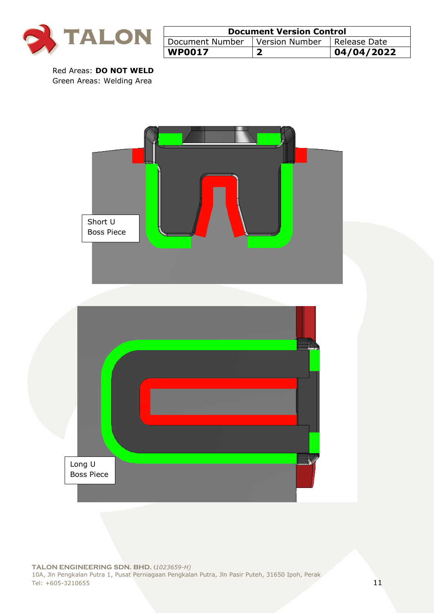

| <b>Document Version Control</b>                     |  |  |  |
|-----------------------------------------------------|--|--|--|
| Version Number<br>Document Number<br>I Release Date |  |  |  |
| 04/04/2022<br><b>WP0017</b>                         |  |  |  |

Red Areas: **DO NOT WELD** Green Areas: Welding Area

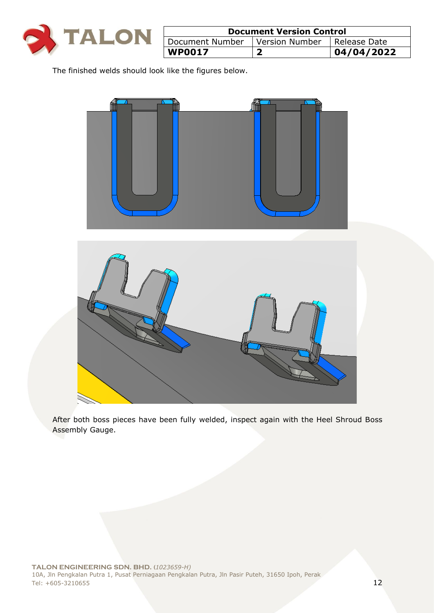

| <b>Document Version Control</b>                 |  |            |  |
|-------------------------------------------------|--|------------|--|
| Document Number   Version Number   Release Date |  |            |  |
| <b>WP0017</b>                                   |  | 04/04/2022 |  |

The finished welds should look like the figures below.





After both boss pieces have been fully welded, inspect again with the Heel Shroud Boss Assembly Gauge.